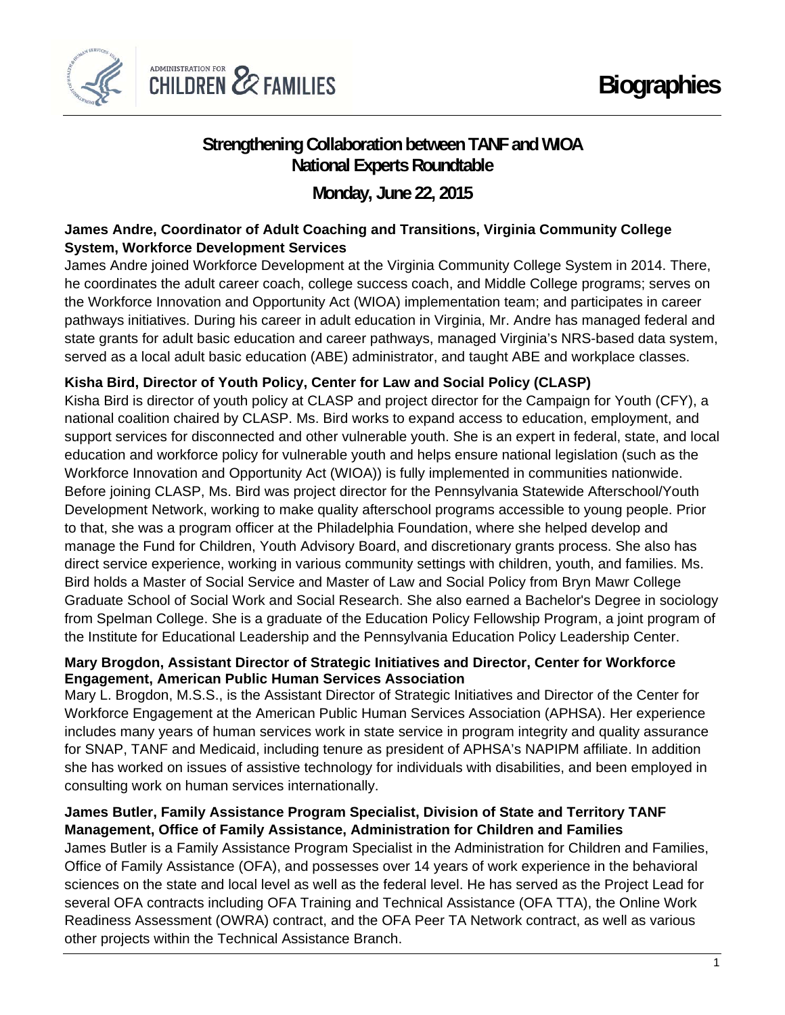

# **Strengthening Collaboration between TANF and WIOA National Experts Roundtable**

**Monday, June 22, 2015**

## **James Andre, Coordinator of Adult Coaching and Transitions, Virginia Community College System, Workforce Development Services**

James Andre joined Workforce Development at the Virginia Community College System in 2014. There, he coordinates the adult career coach, college success coach, and Middle College programs; serves on the Workforce Innovation and Opportunity Act (WIOA) implementation team; and participates in career pathways initiatives. During his career in adult education in Virginia, Mr. Andre has managed federal and state grants for adult basic education and career pathways, managed Virginia's NRS-based data system, served as a local adult basic education (ABE) administrator, and taught ABE and workplace classes.

## **Kisha Bird, Director of Youth Policy, Center for Law and Social Policy (CLASP)**

Kisha Bird is director of youth policy at CLASP and project director for the Campaign for Youth (CFY), a national coalition chaired by CLASP. Ms. Bird works to expand access to education, employment, and support services for disconnected and other vulnerable youth. She is an expert in federal, state, and local education and workforce policy for vulnerable youth and helps ensure national legislation (such as the Workforce Innovation and Opportunity Act (WIOA)) is fully implemented in communities nationwide. Before joining CLASP, Ms. Bird was project director for the Pennsylvania Statewide Afterschool/Youth Development Network, working to make quality afterschool programs accessible to young people. Prior to that, she was a program officer at the Philadelphia Foundation, where she helped develop and manage the Fund for Children, Youth Advisory Board, and discretionary grants process. She also has direct service experience, working in various community settings with children, youth, and families. Ms. Bird holds a Master of Social Service and Master of Law and Social Policy from Bryn Mawr College Graduate School of Social Work and Social Research. She also earned a Bachelor's Degree in sociology from Spelman College. She is a graduate of the Education Policy Fellowship Program, a joint program of the Institute for Educational Leadership and the Pennsylvania Education Policy Leadership Center.

#### **Mary Brogdon, Assistant Director of Strategic Initiatives and Director, Center for Workforce Engagement, American Public Human Services Association**

Mary L. Brogdon, M.S.S., is the Assistant Director of Strategic Initiatives and Director of the Center for Workforce Engagement at the American Public Human Services Association (APHSA). Her experience includes many years of human services work in state service in program integrity and quality assurance for SNAP, TANF and Medicaid, including tenure as president of APHSA's NAPIPM affiliate. In addition she has worked on issues of assistive technology for individuals with disabilities, and been employed in consulting work on human services internationally.

## **James Butler, Family Assistance Program Specialist, Division of State and Territory TANF Management, Office of Family Assistance, Administration for Children and Families**

James Butler is a Family Assistance Program Specialist in the Administration for Children and Families, Office of Family Assistance (OFA), and possesses over 14 years of work experience in the behavioral sciences on the state and local level as well as the federal level. He has served as the Project Lead for several OFA contracts including OFA Training and Technical Assistance (OFA TTA), the Online Work Readiness Assessment (OWRA) contract, and the OFA Peer TA Network contract, as well as various other projects within the Technical Assistance Branch.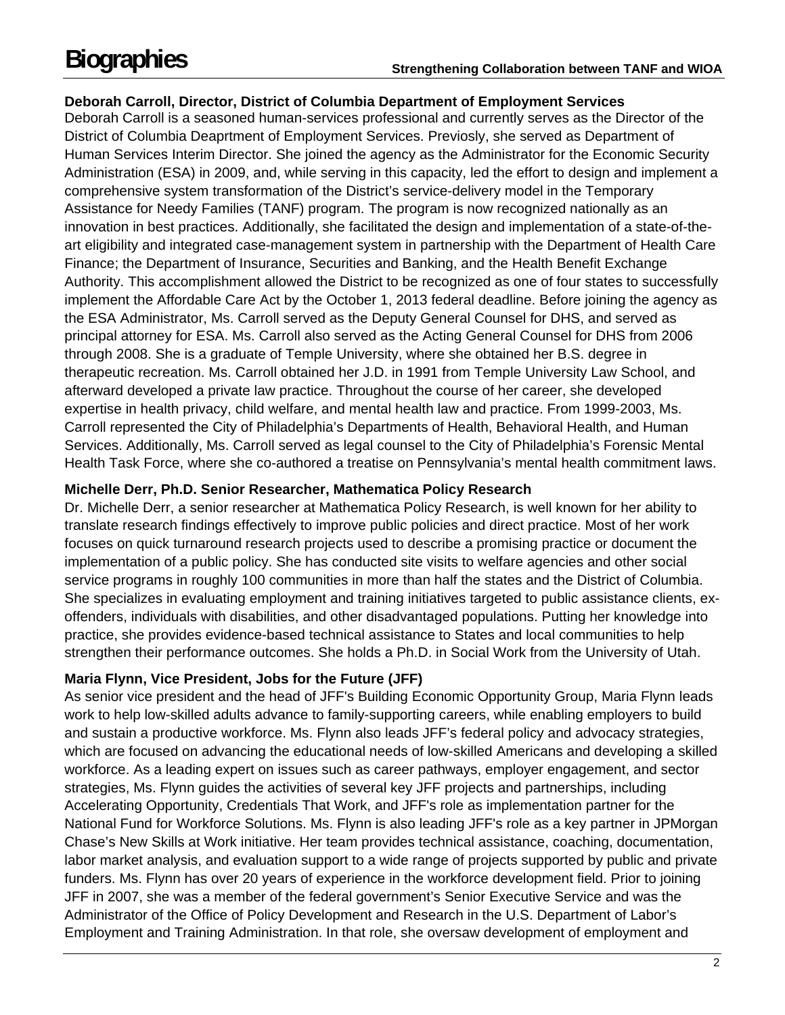## **Deborah Carroll, Director, District of Columbia Department of Employment Services**

Deborah Carroll is a seasoned human-services professional and currently serves as the Director of the District of Columbia Deaprtment of Employment Services. Previosly, she served as Department of Human Services Interim Director. She joined the agency as the Administrator for the Economic Security Administration (ESA) in 2009, and, while serving in this capacity, led the effort to design and implement a comprehensive system transformation of the District's service-delivery model in the Temporary Assistance for Needy Families (TANF) program. The program is now recognized nationally as an innovation in best practices. Additionally, she facilitated the design and implementation of a state-of-theart eligibility and integrated case-management system in partnership with the Department of Health Care Finance; the Department of Insurance, Securities and Banking, and the Health Benefit Exchange Authority. This accomplishment allowed the District to be recognized as one of four states to successfully implement the Affordable Care Act by the October 1, 2013 federal deadline. Before joining the agency as the ESA Administrator, Ms. Carroll served as the Deputy General Counsel for DHS, and served as principal attorney for ESA. Ms. Carroll also served as the Acting General Counsel for DHS from 2006 through 2008. She is a graduate of Temple University, where she obtained her B.S. degree in therapeutic recreation. Ms. Carroll obtained her J.D. in 1991 from Temple University Law School, and afterward developed a private law practice. Throughout the course of her career, she developed expertise in health privacy, child welfare, and mental health law and practice. From 1999-2003, Ms. Carroll represented the City of Philadelphia's Departments of Health, Behavioral Health, and Human Services. Additionally, Ms. Carroll served as legal counsel to the City of Philadelphia's Forensic Mental Health Task Force, where she co-authored a treatise on Pennsylvania's mental health commitment laws.

#### **Michelle Derr, Ph.D. Senior Researcher, Mathematica Policy Research**

Dr. Michelle Derr, a senior researcher at Mathematica Policy Research, is well known for her ability to translate research findings effectively to improve public policies and direct practice. Most of her work focuses on quick turnaround research projects used to describe a promising practice or document the implementation of a public policy. She has conducted site visits to welfare agencies and other social service programs in roughly 100 communities in more than half the states and the District of Columbia. She specializes in evaluating employment and training initiatives targeted to public assistance clients, exoffenders, individuals with disabilities, and other disadvantaged populations. Putting her knowledge into practice, she provides evidence-based technical assistance to States and local communities to help strengthen their performance outcomes. She holds a Ph.D. in Social Work from the University of Utah.

#### **Maria Flynn, Vice President, Jobs for the Future (JFF)**

As senior vice president and the head of JFF's Building Economic Opportunity Group, Maria Flynn leads work to help low-skilled adults advance to family-supporting careers, while enabling employers to build and sustain a productive workforce. Ms. Flynn also leads JFF's federal policy and advocacy strategies, which are focused on advancing the educational needs of low-skilled Americans and developing a skilled workforce. As a leading expert on issues such as career pathways, employer engagement, and sector strategies, Ms. Flynn guides the activities of several key JFF projects and partnerships, including Accelerating Opportunity, Credentials That Work, and JFF's role as implementation partner for the National Fund for Workforce Solutions. Ms. Flynn is also leading JFF's role as a key partner in JPMorgan Chase's New Skills at Work initiative. Her team provides technical assistance, coaching, documentation, labor market analysis, and evaluation support to a wide range of projects supported by public and private funders. Ms. Flynn has over 20 years of experience in the workforce development field. Prior to joining JFF in 2007, she was a member of the federal government's Senior Executive Service and was the Administrator of the Office of Policy Development and Research in the U.S. Department of Labor's Employment and Training Administration. In that role, she oversaw development of employment and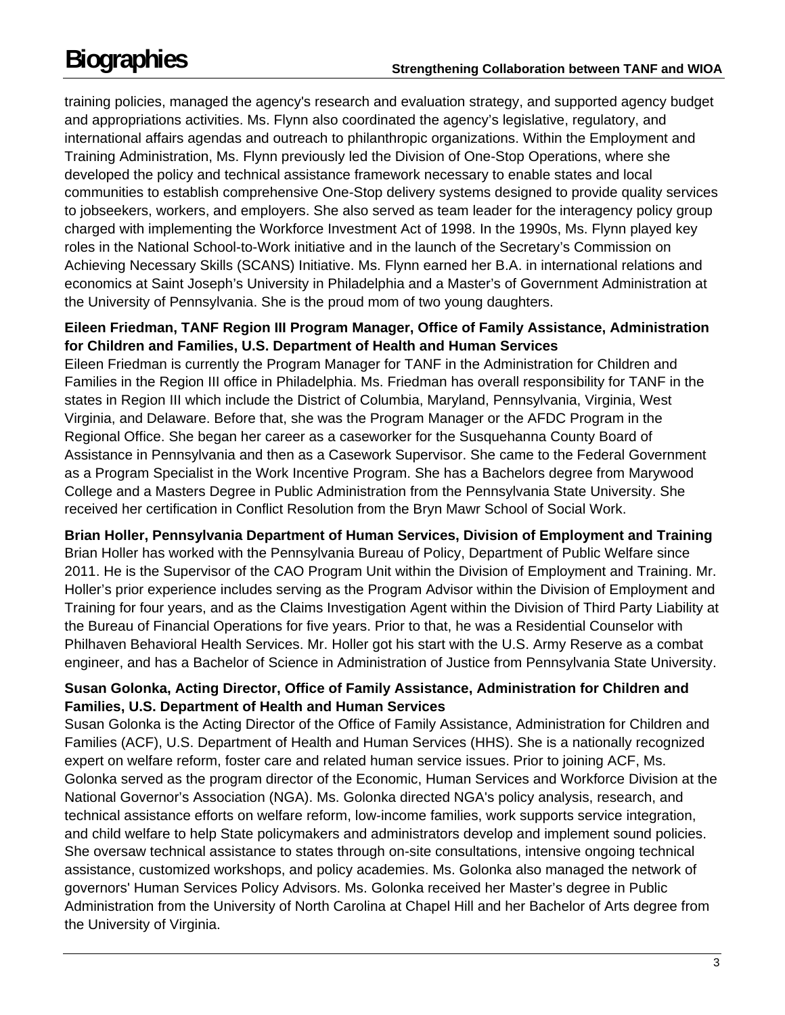training policies, managed the agency's research and evaluation strategy, and supported agency budget and appropriations activities. Ms. Flynn also coordinated the agency's legislative, regulatory, and international affairs agendas and outreach to philanthropic organizations. Within the Employment and Training Administration, Ms. Flynn previously led the Division of One-Stop Operations, where she developed the policy and technical assistance framework necessary to enable states and local communities to establish comprehensive One-Stop delivery systems designed to provide quality services to jobseekers, workers, and employers. She also served as team leader for the interagency policy group charged with implementing the Workforce Investment Act of 1998. In the 1990s, Ms. Flynn played key roles in the National School-to-Work initiative and in the launch of the Secretary's Commission on Achieving Necessary Skills (SCANS) Initiative. Ms. Flynn earned her B.A. in international relations and economics at Saint Joseph's University in Philadelphia and a Master's of Government Administration at the University of Pennsylvania. She is the proud mom of two young daughters.

## **Eileen Friedman, TANF Region III Program Manager, Office of Family Assistance, Administration for Children and Families, U.S. Department of Health and Human Services**

Eileen Friedman is currently the Program Manager for TANF in the Administration for Children and Families in the Region III office in Philadelphia. Ms. Friedman has overall responsibility for TANF in the states in Region III which include the District of Columbia, Maryland, Pennsylvania, Virginia, West Virginia, and Delaware. Before that, she was the Program Manager or the AFDC Program in the Regional Office. She began her career as a caseworker for the Susquehanna County Board of Assistance in Pennsylvania and then as a Casework Supervisor. She came to the Federal Government as a Program Specialist in the Work Incentive Program. She has a Bachelors degree from Marywood College and a Masters Degree in Public Administration from the Pennsylvania State University. She received her certification in Conflict Resolution from the Bryn Mawr School of Social Work.

#### **Brian Holler, Pennsylvania Department of Human Services, Division of Employment and Training**

Brian Holler has worked with the Pennsylvania Bureau of Policy, Department of Public Welfare since 2011. He is the Supervisor of the CAO Program Unit within the Division of Employment and Training. Mr. Holler's prior experience includes serving as the Program Advisor within the Division of Employment and Training for four years, and as the Claims Investigation Agent within the Division of Third Party Liability at the Bureau of Financial Operations for five years. Prior to that, he was a Residential Counselor with Philhaven Behavioral Health Services. Mr. Holler got his start with the U.S. Army Reserve as a combat engineer, and has a Bachelor of Science in Administration of Justice from Pennsylvania State University.

## **Susan Golonka, Acting Director, Office of Family Assistance, Administration for Children and Families, U.S. Department of Health and Human Services**

Susan Golonka is the Acting Director of the Office of Family Assistance, Administration for Children and Families (ACF), U.S. Department of Health and Human Services (HHS). She is a nationally recognized expert on welfare reform, foster care and related human service issues. Prior to joining ACF, Ms. Golonka served as the program director of the Economic, Human Services and Workforce Division at the National Governor's Association (NGA). Ms. Golonka directed NGA's policy analysis, research, and technical assistance efforts on welfare reform, low-income families, work supports service integration, and child welfare to help State policymakers and administrators develop and implement sound policies. She oversaw technical assistance to states through on-site consultations, intensive ongoing technical assistance, customized workshops, and policy academies. Ms. Golonka also managed the network of governors' Human Services Policy Advisors. Ms. Golonka received her Master's degree in Public Administration from the University of North Carolina at Chapel Hill and her Bachelor of Arts degree from the University of Virginia.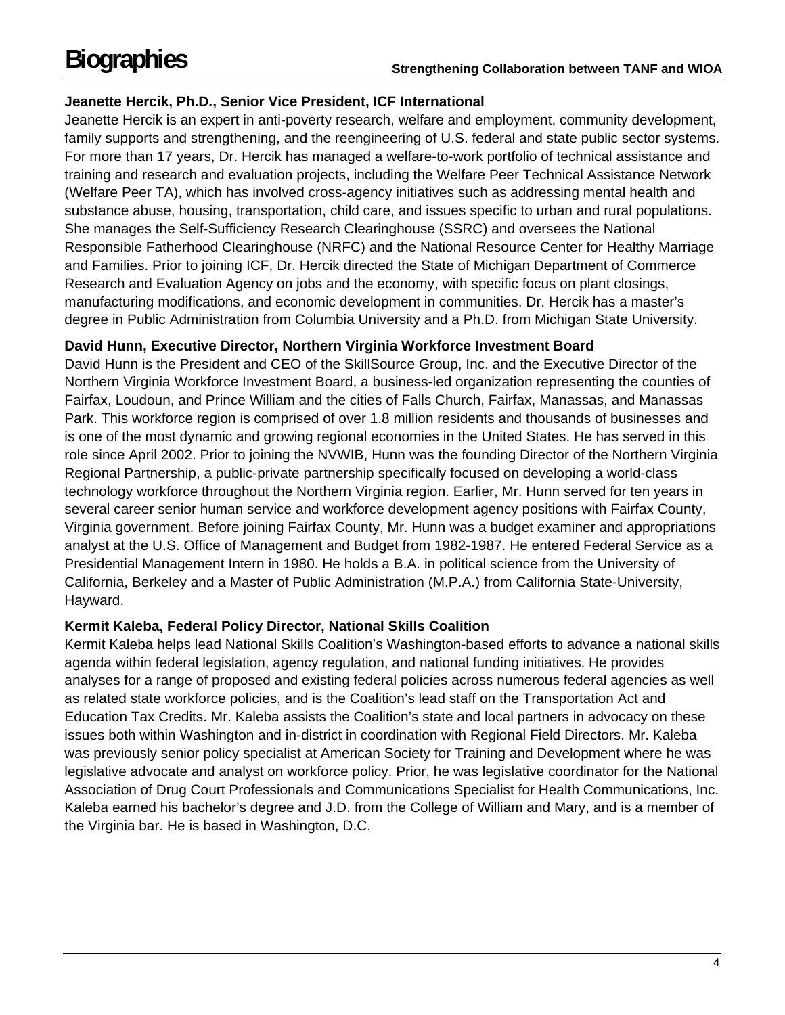## **Jeanette Hercik, Ph.D., Senior Vice President, ICF International**

Jeanette Hercik is an expert in anti-poverty research, welfare and employment, community development, family supports and strengthening, and the reengineering of U.S. federal and state public sector systems. For more than 17 years, Dr. Hercik has managed a welfare-to-work portfolio of technical assistance and training and research and evaluation projects, including the Welfare Peer Technical Assistance Network (Welfare Peer TA), which has involved cross-agency initiatives such as addressing mental health and substance abuse, housing, transportation, child care, and issues specific to urban and rural populations. She manages the Self-Sufficiency Research Clearinghouse (SSRC) and oversees the National Responsible Fatherhood Clearinghouse (NRFC) and the National Resource Center for Healthy Marriage and Families. Prior to joining ICF, Dr. Hercik directed the State of Michigan Department of Commerce Research and Evaluation Agency on jobs and the economy, with specific focus on plant closings, manufacturing modifications, and economic development in communities. Dr. Hercik has a master's degree in Public Administration from Columbia University and a Ph.D. from Michigan State University.

## **David Hunn, Executive Director, Northern Virginia Workforce Investment Board**

David Hunn is the President and CEO of the SkillSource Group, Inc. and the Executive Director of the Northern Virginia Workforce Investment Board, a business-led organization representing the counties of Fairfax, Loudoun, and Prince William and the cities of Falls Church, Fairfax, Manassas, and Manassas Park. This workforce region is comprised of over 1.8 million residents and thousands of businesses and is one of the most dynamic and growing regional economies in the United States. He has served in this role since April 2002. Prior to joining the NVWIB, Hunn was the founding Director of the Northern Virginia Regional Partnership, a public-private partnership specifically focused on developing a world-class technology workforce throughout the Northern Virginia region. Earlier, Mr. Hunn served for ten years in several career senior human service and workforce development agency positions with Fairfax County, Virginia government. Before joining Fairfax County, Mr. Hunn was a budget examiner and appropriations analyst at the U.S. Office of Management and Budget from 1982-1987. He entered Federal Service as a Presidential Management Intern in 1980. He holds a B.A. in political science from the University of California, Berkeley and a Master of Public Administration (M.P.A.) from California State-University, Hayward.

#### **Kermit Kaleba, Federal Policy Director, National Skills Coalition**

Kermit Kaleba helps lead National Skills Coalition's Washington-based efforts to advance a national skills agenda within federal legislation, agency regulation, and national funding initiatives. He provides analyses for a range of proposed and existing federal policies across numerous federal agencies as well as related state workforce policies, and is the Coalition's lead staff on the Transportation Act and Education Tax Credits. Mr. Kaleba assists the Coalition's state and local partners in advocacy on these issues both within Washington and in-district in coordination with Regional Field Directors. Mr. Kaleba was previously senior policy specialist at American Society for Training and Development where he was legislative advocate and analyst on workforce policy. Prior, he was legislative coordinator for the National Association of Drug Court Professionals and Communications Specialist for Health Communications, Inc. Kaleba earned his bachelor's degree and J.D. from the College of William and Mary, and is a member of the Virginia bar. He is based in Washington, D.C.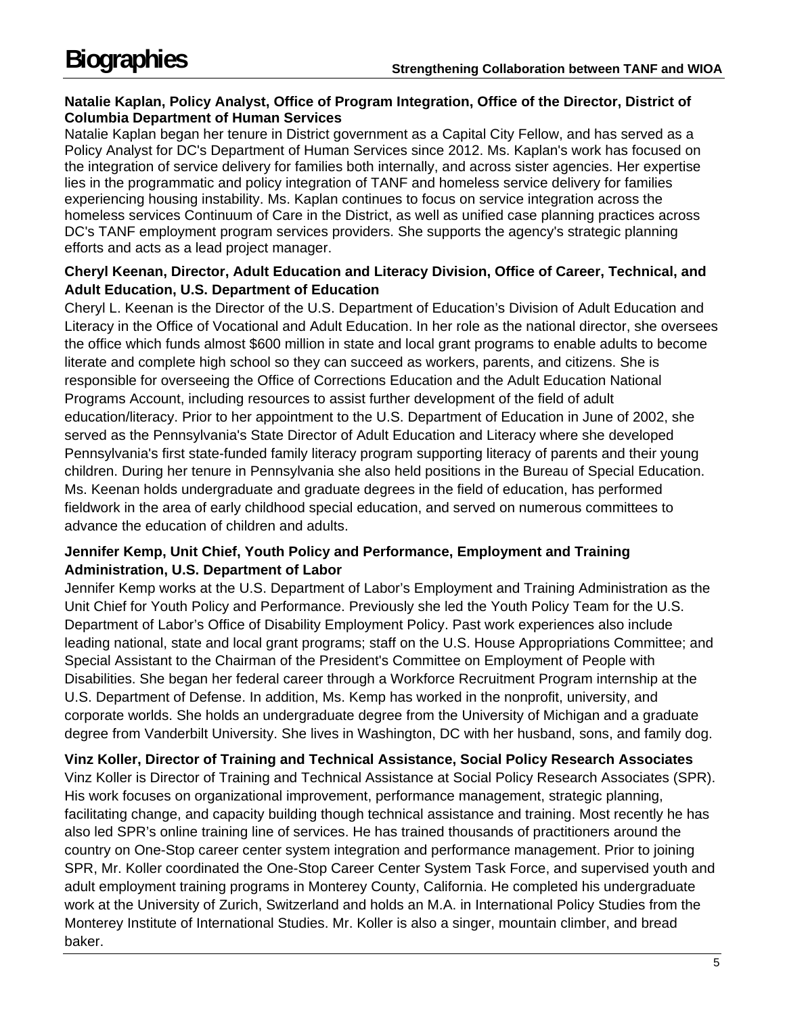#### **Natalie Kaplan, Policy Analyst, Office of Program Integration, Office of the Director, District of Columbia Department of Human Services**

Natalie Kaplan began her tenure in District government as a Capital City Fellow, and has served as a Policy Analyst for DC's Department of Human Services since 2012. Ms. Kaplan's work has focused on the integration of service delivery for families both internally, and across sister agencies. Her expertise lies in the programmatic and policy integration of TANF and homeless service delivery for families experiencing housing instability. Ms. Kaplan continues to focus on service integration across the homeless services Continuum of Care in the District, as well as unified case planning practices across DC's TANF employment program services providers. She supports the agency's strategic planning efforts and acts as a lead project manager.

#### **Cheryl Keenan, Director, Adult Education and Literacy Division, Office of Career, Technical, and Adult Education, U.S. Department of Education**

Cheryl L. Keenan is the Director of the U.S. Department of Education's Division of Adult Education and Literacy in the Office of Vocational and Adult Education. In her role as the national director, she oversees the office which funds almost \$600 million in state and local grant programs to enable adults to become literate and complete high school so they can succeed as workers, parents, and citizens. She is responsible for overseeing the Office of Corrections Education and the Adult Education National Programs Account, including resources to assist further development of the field of adult education/literacy. Prior to her appointment to the U.S. Department of Education in June of 2002, she served as the Pennsylvania's State Director of Adult Education and Literacy where she developed Pennsylvania's first state-funded family literacy program supporting literacy of parents and their young children. During her tenure in Pennsylvania she also held positions in the Bureau of Special Education. Ms. Keenan holds undergraduate and graduate degrees in the field of education, has performed fieldwork in the area of early childhood special education, and served on numerous committees to advance the education of children and adults.

#### **Jennifer Kemp, Unit Chief, Youth Policy and Performance, Employment and Training Administration, U.S. Department of Labor**

Jennifer Kemp works at the U.S. Department of Labor's Employment and Training Administration as the Unit Chief for Youth Policy and Performance. Previously she led the Youth Policy Team for the U.S. Department of Labor's Office of Disability Employment Policy. Past work experiences also include leading national, state and local grant programs; staff on the U.S. House Appropriations Committee; and Special Assistant to the Chairman of the President's Committee on Employment of People with Disabilities. She began her federal career through a Workforce Recruitment Program internship at the U.S. Department of Defense. In addition, Ms. Kemp has worked in the nonprofit, university, and corporate worlds. She holds an undergraduate degree from the University of Michigan and a graduate degree from Vanderbilt University. She lives in Washington, DC with her husband, sons, and family dog.

**Vinz Koller, Director of Training and Technical Assistance, Social Policy Research Associates**  Vinz Koller is Director of Training and Technical Assistance at Social Policy Research Associates (SPR). His work focuses on organizational improvement, performance management, strategic planning, facilitating change, and capacity building though technical assistance and training. Most recently he has also led SPR's online training line of services. He has trained thousands of practitioners around the country on One-Stop career center system integration and performance management. Prior to joining SPR, Mr. Koller coordinated the One-Stop Career Center System Task Force, and supervised youth and adult employment training programs in Monterey County, California. He completed his undergraduate work at the University of Zurich, Switzerland and holds an M.A. in International Policy Studies from the Monterey Institute of International Studies. Mr. Koller is also a singer, mountain climber, and bread baker.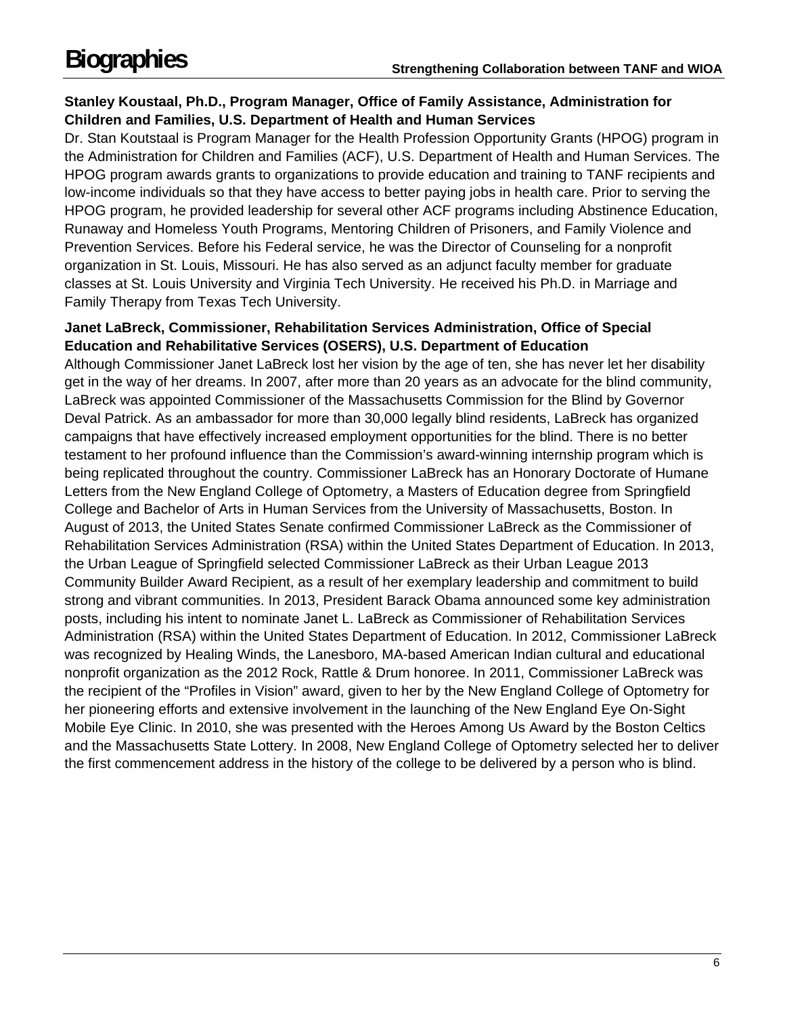## **Stanley Koustaal, Ph.D., Program Manager, Office of Family Assistance, Administration for Children and Families, U.S. Department of Health and Human Services**

Dr. Stan Koutstaal is Program Manager for the Health Profession Opportunity Grants (HPOG) program in the Administration for Children and Families (ACF), U.S. Department of Health and Human Services. The HPOG program awards grants to organizations to provide education and training to TANF recipients and low-income individuals so that they have access to better paying jobs in health care. Prior to serving the HPOG program, he provided leadership for several other ACF programs including Abstinence Education, Runaway and Homeless Youth Programs, Mentoring Children of Prisoners, and Family Violence and Prevention Services. Before his Federal service, he was the Director of Counseling for a nonprofit organization in St. Louis, Missouri. He has also served as an adjunct faculty member for graduate classes at St. Louis University and Virginia Tech University. He received his Ph.D. in Marriage and Family Therapy from Texas Tech University.

#### **Janet LaBreck, Commissioner, Rehabilitation Services Administration, Office of Special Education and Rehabilitative Services (OSERS), U.S. Department of Education**

Although Commissioner Janet LaBreck lost her vision by the age of ten, she has never let her disability get in the way of her dreams. In 2007, after more than 20 years as an advocate for the blind community, LaBreck was appointed Commissioner of the Massachusetts Commission for the Blind by Governor Deval Patrick. As an ambassador for more than 30,000 legally blind residents, LaBreck has organized campaigns that have effectively increased employment opportunities for the blind. There is no better testament to her profound influence than the Commission's award-winning internship program which is being replicated throughout the country. Commissioner LaBreck has an Honorary Doctorate of Humane Letters from the New England College of Optometry, a Masters of Education degree from Springfield College and Bachelor of Arts in Human Services from the University of Massachusetts, Boston. In August of 2013, the United States Senate confirmed Commissioner LaBreck as the Commissioner of Rehabilitation Services Administration (RSA) within the United States Department of Education. In 2013, the Urban League of Springfield selected Commissioner LaBreck as their Urban League 2013 Community Builder Award Recipient, as a result of her exemplary leadership and commitment to build strong and vibrant communities. In 2013, President Barack Obama announced some key administration posts, including his intent to nominate Janet L. LaBreck as Commissioner of Rehabilitation Services Administration (RSA) within the United States Department of Education. In 2012, Commissioner LaBreck was recognized by Healing Winds, the Lanesboro, MA-based American Indian cultural and educational nonprofit organization as the 2012 Rock, Rattle & Drum honoree. In 2011, Commissioner LaBreck was the recipient of the "Profiles in Vision" award, given to her by the New England College of Optometry for her pioneering efforts and extensive involvement in the launching of the New England Eye On-Sight Mobile Eye Clinic. In 2010, she was presented with the Heroes Among Us Award by the Boston Celtics and the Massachusetts State Lottery. In 2008, New England College of Optometry selected her to deliver the first commencement address in the history of the college to be delivered by a person who is blind.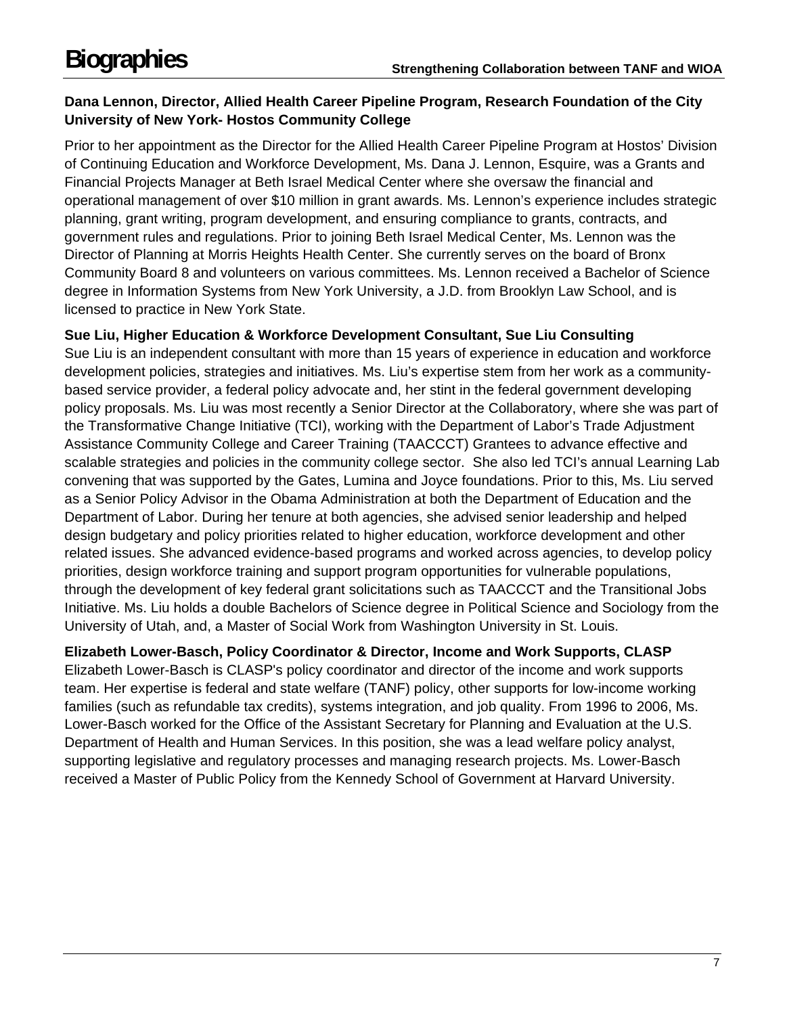## **Dana Lennon, Director, Allied Health Career Pipeline Program, Research Foundation of the City University of New York- Hostos Community College**

Prior to her appointment as the Director for the Allied Health Career Pipeline Program at Hostos' Division of Continuing Education and Workforce Development, Ms. Dana J. Lennon, Esquire, was a Grants and Financial Projects Manager at Beth Israel Medical Center where she oversaw the financial and operational management of over \$10 million in grant awards. Ms. Lennon's experience includes strategic planning, grant writing, program development, and ensuring compliance to grants, contracts, and government rules and regulations. Prior to joining Beth Israel Medical Center, Ms. Lennon was the Director of Planning at Morris Heights Health Center. She currently serves on the board of Bronx Community Board 8 and volunteers on various committees. Ms. Lennon received a Bachelor of Science degree in Information Systems from New York University, a J.D. from Brooklyn Law School, and is licensed to practice in New York State.

## **Sue Liu, Higher Education & Workforce Development Consultant, Sue Liu Consulting**

Sue Liu is an independent consultant with more than 15 years of experience in education and workforce development policies, strategies and initiatives. Ms. Liu's expertise stem from her work as a communitybased service provider, a federal policy advocate and, her stint in the federal government developing policy proposals. Ms. Liu was most recently a Senior Director at the Collaboratory, where she was part of the Transformative Change Initiative (TCI), working with the Department of Labor's Trade Adjustment Assistance Community College and Career Training (TAACCCT) Grantees to advance effective and scalable strategies and policies in the community college sector. She also led TCI's annual Learning Lab convening that was supported by the Gates, Lumina and Joyce foundations. Prior to this, Ms. Liu served as a Senior Policy Advisor in the Obama Administration at both the Department of Education and the Department of Labor. During her tenure at both agencies, she advised senior leadership and helped design budgetary and policy priorities related to higher education, workforce development and other related issues. She advanced evidence-based programs and worked across agencies, to develop policy priorities, design workforce training and support program opportunities for vulnerable populations, through the development of key federal grant solicitations such as TAACCCT and the Transitional Jobs Initiative. Ms. Liu holds a double Bachelors of Science degree in Political Science and Sociology from the University of Utah, and, a Master of Social Work from Washington University in St. Louis.

## **Elizabeth Lower-Basch, Policy Coordinator & Director, Income and Work Supports, CLASP**

Elizabeth Lower-Basch is CLASP's policy coordinator and director of the income and work supports team. Her expertise is federal and state welfare (TANF) policy, other supports for low-income working families (such as refundable tax credits), systems integration, and job quality. From 1996 to 2006, Ms. Lower-Basch worked for the Office of the Assistant Secretary for Planning and Evaluation at the U.S. Department of Health and Human Services. In this position, she was a lead welfare policy analyst, supporting legislative and regulatory processes and managing research projects. Ms. Lower-Basch received a Master of Public Policy from the Kennedy School of Government at Harvard University.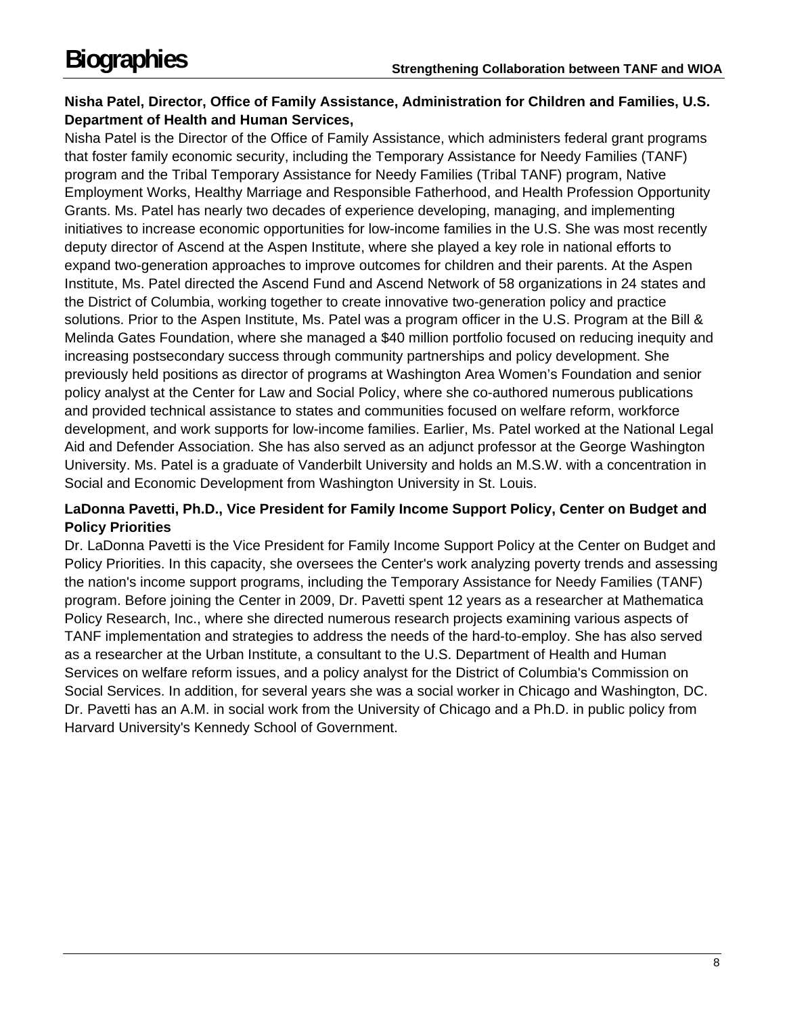## **Nisha Patel, Director, Office of Family Assistance, Administration for Children and Families, U.S. Department of Health and Human Services,**

Nisha Patel is the Director of the Office of Family Assistance, which administers federal grant programs that foster family economic security, including the Temporary Assistance for Needy Families (TANF) program and the Tribal Temporary Assistance for Needy Families (Tribal TANF) program, Native Employment Works, Healthy Marriage and Responsible Fatherhood, and Health Profession Opportunity Grants. Ms. Patel has nearly two decades of experience developing, managing, and implementing initiatives to increase economic opportunities for low-income families in the U.S. She was most recently deputy director of Ascend at the Aspen Institute, where she played a key role in national efforts to expand two-generation approaches to improve outcomes for children and their parents. At the Aspen Institute, Ms. Patel directed the Ascend Fund and Ascend Network of 58 organizations in 24 states and the District of Columbia, working together to create innovative two-generation policy and practice solutions. Prior to the Aspen Institute, Ms. Patel was a program officer in the U.S. Program at the Bill & Melinda Gates Foundation, where she managed a \$40 million portfolio focused on reducing inequity and increasing postsecondary success through community partnerships and policy development. She previously held positions as director of programs at Washington Area Women's Foundation and senior policy analyst at the Center for Law and Social Policy, where she co-authored numerous publications and provided technical assistance to states and communities focused on welfare reform, workforce development, and work supports for low-income families. Earlier, Ms. Patel worked at the National Legal Aid and Defender Association. She has also served as an adjunct professor at the George Washington University. Ms. Patel is a graduate of Vanderbilt University and holds an M.S.W. with a concentration in Social and Economic Development from Washington University in St. Louis.

#### **LaDonna Pavetti, Ph.D., Vice President for Family Income Support Policy, Center on Budget and Policy Priorities**

Dr. LaDonna Pavetti is the Vice President for Family Income Support Policy at the Center on Budget and Policy Priorities. In this capacity, she oversees the Center's work analyzing poverty trends and assessing the nation's income support programs, including the Temporary Assistance for Needy Families (TANF) program. Before joining the Center in 2009, Dr. Pavetti spent 12 years as a researcher at Mathematica Policy Research, Inc., where she directed numerous research projects examining various aspects of TANF implementation and strategies to address the needs of the hard-to-employ. She has also served as a researcher at the Urban Institute, a consultant to the U.S. Department of Health and Human Services on welfare reform issues, and a policy analyst for the District of Columbia's Commission on Social Services. In addition, for several years she was a social worker in Chicago and Washington, DC. Dr. Pavetti has an A.M. in social work from the University of Chicago and a Ph.D. in public policy from Harvard University's Kennedy School of Government.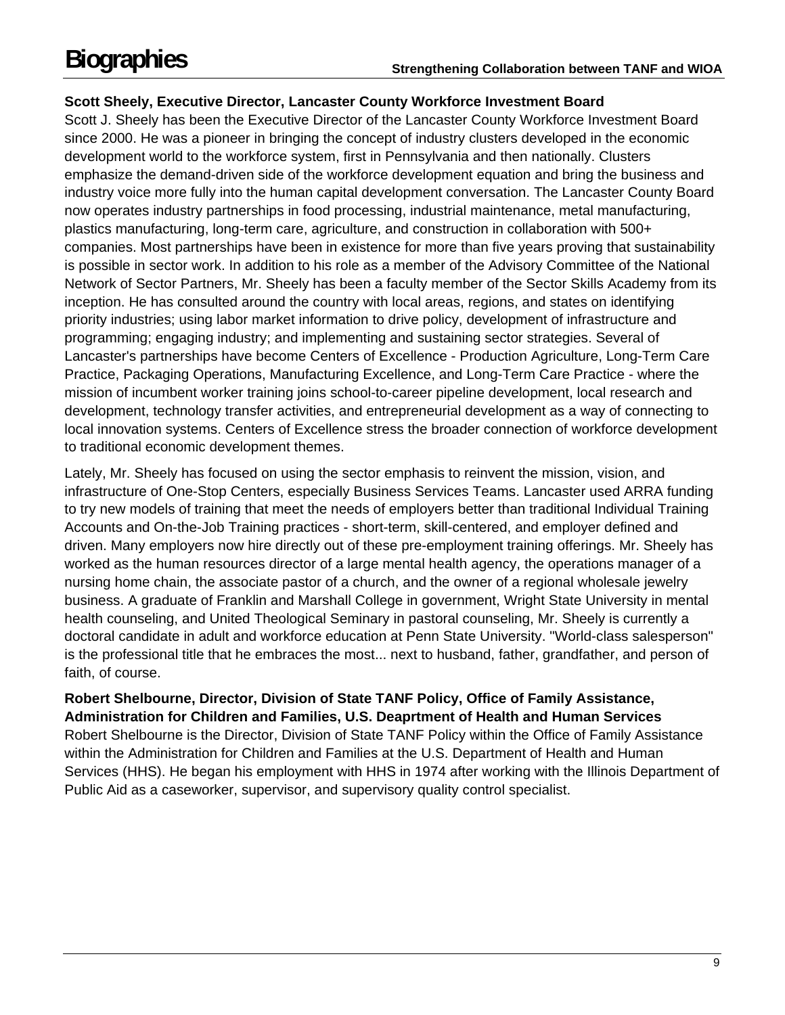## **Scott Sheely, Executive Director, Lancaster County Workforce Investment Board**

Scott J. Sheely has been the Executive Director of the Lancaster County Workforce Investment Board since 2000. He was a pioneer in bringing the concept of industry clusters developed in the economic development world to the workforce system, first in Pennsylvania and then nationally. Clusters emphasize the demand-driven side of the workforce development equation and bring the business and industry voice more fully into the human capital development conversation. The Lancaster County Board now operates industry partnerships in food processing, industrial maintenance, metal manufacturing, plastics manufacturing, long-term care, agriculture, and construction in collaboration with 500+ companies. Most partnerships have been in existence for more than five years proving that sustainability is possible in sector work. In addition to his role as a member of the Advisory Committee of the National Network of Sector Partners, Mr. Sheely has been a faculty member of the Sector Skills Academy from its inception. He has consulted around the country with local areas, regions, and states on identifying priority industries; using labor market information to drive policy, development of infrastructure and programming; engaging industry; and implementing and sustaining sector strategies. Several of Lancaster's partnerships have become Centers of Excellence - Production Agriculture, Long-Term Care Practice, Packaging Operations, Manufacturing Excellence, and Long-Term Care Practice - where the mission of incumbent worker training joins school-to-career pipeline development, local research and development, technology transfer activities, and entrepreneurial development as a way of connecting to local innovation systems. Centers of Excellence stress the broader connection of workforce development to traditional economic development themes.

Lately, Mr. Sheely has focused on using the sector emphasis to reinvent the mission, vision, and infrastructure of One-Stop Centers, especially Business Services Teams. Lancaster used ARRA funding to try new models of training that meet the needs of employers better than traditional Individual Training Accounts and On-the-Job Training practices - short-term, skill-centered, and employer defined and driven. Many employers now hire directly out of these pre-employment training offerings. Mr. Sheely has worked as the human resources director of a large mental health agency, the operations manager of a nursing home chain, the associate pastor of a church, and the owner of a regional wholesale jewelry business. A graduate of Franklin and Marshall College in government, Wright State University in mental health counseling, and United Theological Seminary in pastoral counseling, Mr. Sheely is currently a doctoral candidate in adult and workforce education at Penn State University. "World-class salesperson" is the professional title that he embraces the most... next to husband, father, grandfather, and person of faith, of course.

## **Robert Shelbourne, Director, Division of State TANF Policy, Office of Family Assistance, Administration for Children and Families, U.S. Deaprtment of Health and Human Services**

Robert Shelbourne is the Director, Division of State TANF Policy within the Office of Family Assistance within the Administration for Children and Families at the U.S. Department of Health and Human Services (HHS). He began his employment with HHS in 1974 after working with the Illinois Department of Public Aid as a caseworker, supervisor, and supervisory quality control specialist.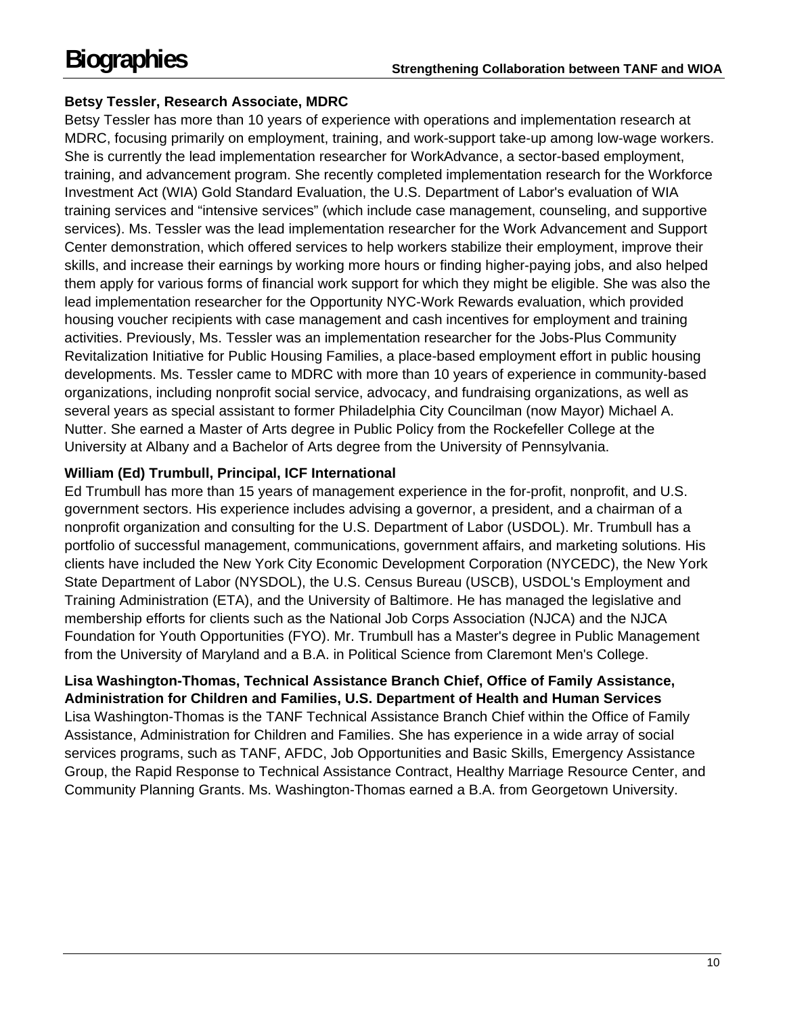## **Betsy Tessler, Research Associate, MDRC**

Betsy Tessler has more than 10 years of experience with operations and implementation research at MDRC, focusing primarily on employment, training, and work-support take-up among low-wage workers. She is currently the lead implementation researcher for WorkAdvance, a sector-based employment, training, and advancement program. She recently completed implementation research for the Workforce Investment Act (WIA) Gold Standard Evaluation, the U.S. Department of Labor's evaluation of WIA training services and "intensive services" (which include case management, counseling, and supportive services). Ms. Tessler was the lead implementation researcher for the Work Advancement and Support Center demonstration, which offered services to help workers stabilize their employment, improve their skills, and increase their earnings by working more hours or finding higher-paying jobs, and also helped them apply for various forms of financial work support for which they might be eligible. She was also the lead implementation researcher for the Opportunity NYC-Work Rewards evaluation, which provided housing voucher recipients with case management and cash incentives for employment and training activities. Previously, Ms. Tessler was an implementation researcher for the Jobs-Plus Community Revitalization Initiative for Public Housing Families, a place-based employment effort in public housing developments. Ms. Tessler came to MDRC with more than 10 years of experience in community-based organizations, including nonprofit social service, advocacy, and fundraising organizations, as well as several years as special assistant to former Philadelphia City Councilman (now Mayor) Michael A. Nutter. She earned a Master of Arts degree in Public Policy from the Rockefeller College at the University at Albany and a Bachelor of Arts degree from the University of Pennsylvania.

## **William (Ed) Trumbull, Principal, ICF International**

Ed Trumbull has more than 15 years of management experience in the for-profit, nonprofit, and U.S. government sectors. His experience includes advising a governor, a president, and a chairman of a nonprofit organization and consulting for the U.S. Department of Labor (USDOL). Mr. Trumbull has a portfolio of successful management, communications, government affairs, and marketing solutions. His clients have included the New York City Economic Development Corporation (NYCEDC), the New York State Department of Labor (NYSDOL), the U.S. Census Bureau (USCB), USDOL's Employment and Training Administration (ETA), and the University of Baltimore. He has managed the legislative and membership efforts for clients such as the National Job Corps Association (NJCA) and the NJCA Foundation for Youth Opportunities (FYO). Mr. Trumbull has a Master's degree in Public Management from the University of Maryland and a B.A. in Political Science from Claremont Men's College.

#### **Lisa Washington-Thomas, Technical Assistance Branch Chief, Office of Family Assistance, Administration for Children and Families, U.S. Department of Health and Human Services**

Lisa Washington-Thomas is the TANF Technical Assistance Branch Chief within the Office of Family Assistance, Administration for Children and Families. She has experience in a wide array of social services programs, such as TANF, AFDC, Job Opportunities and Basic Skills, Emergency Assistance Group, the Rapid Response to Technical Assistance Contract, Healthy Marriage Resource Center, and Community Planning Grants. Ms. Washington-Thomas earned a B.A. from Georgetown University.